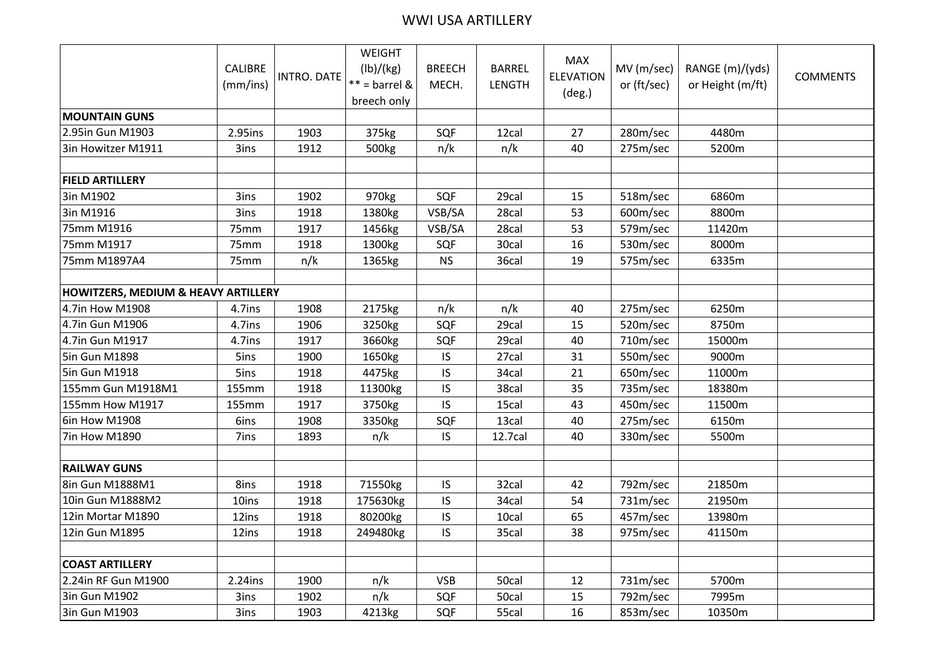## WWI USA ARTILLERY

|                                                |                |             | WEIGHT          |               |               |                                |             |                  |                 |
|------------------------------------------------|----------------|-------------|-----------------|---------------|---------------|--------------------------------|-------------|------------------|-----------------|
|                                                | <b>CALIBRE</b> | INTRO. DATE | (lb)/(kg)       | <b>BREECH</b> | <b>BARREL</b> | <b>MAX</b><br><b>ELEVATION</b> | MV (m/sec)  | RANGE (m)/(yds)  | <b>COMMENTS</b> |
|                                                | (mm/ins)       |             | $** =$ barrel & | MECH.         | <b>LENGTH</b> |                                | or (ft/sec) | or Height (m/ft) |                 |
|                                                |                |             | breech only     |               |               | $(\text{deg.})$                |             |                  |                 |
| <b>MOUNTAIN GUNS</b>                           |                |             |                 |               |               |                                |             |                  |                 |
| 2.95in Gun M1903                               | 2.95ins        | 1903        | 375kg           | SQF           | 12cal         | 27                             | 280m/sec    | 4480m            |                 |
| 3in Howitzer M1911                             | 3ins           | 1912        | 500kg           | n/k           | n/k           | 40                             | 275m/sec    | 5200m            |                 |
|                                                |                |             |                 |               |               |                                |             |                  |                 |
| <b>FIELD ARTILLERY</b>                         |                |             |                 |               |               |                                |             |                  |                 |
| 3in M1902                                      | 3ins           | 1902        | 970kg           | SQF           | 29cal         | 15                             | 518m/sec    | 6860m            |                 |
| 3in M1916                                      | 3ins           | 1918        | 1380kg          | VSB/SA        | 28cal         | 53                             | 600m/sec    | 8800m            |                 |
| 75mm M1916                                     | 75mm           | 1917        | 1456kg          | VSB/SA        | 28cal         | 53                             | 579m/sec    | 11420m           |                 |
| 75mm M1917                                     | 75mm           | 1918        | 1300kg          | SQF           | 30cal         | 16                             | 530m/sec    | 8000m            |                 |
| 75mm M1897A4                                   | 75mm           | n/k         | 1365kg          | <b>NS</b>     | 36cal         | 19                             | 575m/sec    | 6335m            |                 |
|                                                |                |             |                 |               |               |                                |             |                  |                 |
| <b>HOWITZERS, MEDIUM &amp; HEAVY ARTILLERY</b> |                |             |                 |               |               |                                |             |                  |                 |
| 4.7in How M1908                                | 4.7ins         | 1908        | 2175kg          | n/k           | n/k           | 40                             | 275m/sec    | 6250m            |                 |
| 4.7in Gun M1906                                | 4.7ins         | 1906        | 3250kg          | SQF           | 29cal         | 15                             | 520m/sec    | 8750m            |                 |
| 4.7in Gun M1917                                | 4.7ins         | 1917        | 3660kg          | SQF           | 29cal         | 40                             | 710m/sec    | 15000m           |                 |
| 5in Gun M1898                                  | 5ins           | 1900        | 1650kg          | IS            | 27cal         | 31                             | 550m/sec    | 9000m            |                 |
| 5in Gun M1918                                  | 5ins           | 1918        | 4475kg          | IS            | 34cal         | 21                             | 650m/sec    | 11000m           |                 |
| 155mm Gun M1918M1                              | 155mm          | 1918        | 11300kg         | IS            | 38cal         | 35                             | 735m/sec    | 18380m           |                 |
| 155mm How M1917                                | 155mm          | 1917        | 3750kg          | IS            | 15cal         | 43                             | 450m/sec    | 11500m           |                 |
| 6in How M1908                                  | 6ins           | 1908        | 3350kg          | SQF           | 13cal         | 40                             | 275m/sec    | 6150m            |                 |
| 7in How M1890                                  | 7ins           | 1893        | n/k             | IS.           | 12.7cal       | 40                             | 330m/sec    | 5500m            |                 |
|                                                |                |             |                 |               |               |                                |             |                  |                 |
| <b>RAILWAY GUNS</b>                            |                |             |                 |               |               |                                |             |                  |                 |
| 8in Gun M1888M1                                | 8ins           | 1918        | 71550kg         | IS            | 32cal         | 42                             | 792m/sec    | 21850m           |                 |
| 10in Gun M1888M2                               | 10ins          | 1918        | 175630kg        | IS            | 34cal         | 54                             | 731m/sec    | 21950m           |                 |
| 12in Mortar M1890                              | 12ins          | 1918        | 80200kg         | IS            | 10cal         | 65                             | 457m/sec    | 13980m           |                 |
| 12in Gun M1895                                 | 12ins          | 1918        | 249480kg        | IS            | 35cal         | 38                             | 975m/sec    | 41150m           |                 |
|                                                |                |             |                 |               |               |                                |             |                  |                 |
| <b>COAST ARTILLERY</b>                         |                |             |                 |               |               |                                |             |                  |                 |
| 2.24in RF Gun M1900                            | $2.24$ ins     | 1900        | n/k             | <b>VSB</b>    | 50cal         | 12                             | 731m/sec    | 5700m            |                 |
| 3in Gun M1902                                  | 3ins           | 1902        | n/k             | SQF           | 50cal         | 15                             | 792m/sec    | 7995m            |                 |
| 3in Gun M1903                                  | 3ins           | 1903        | 4213kg          | SQF           | 55cal         | 16                             | 853m/sec    | 10350m           |                 |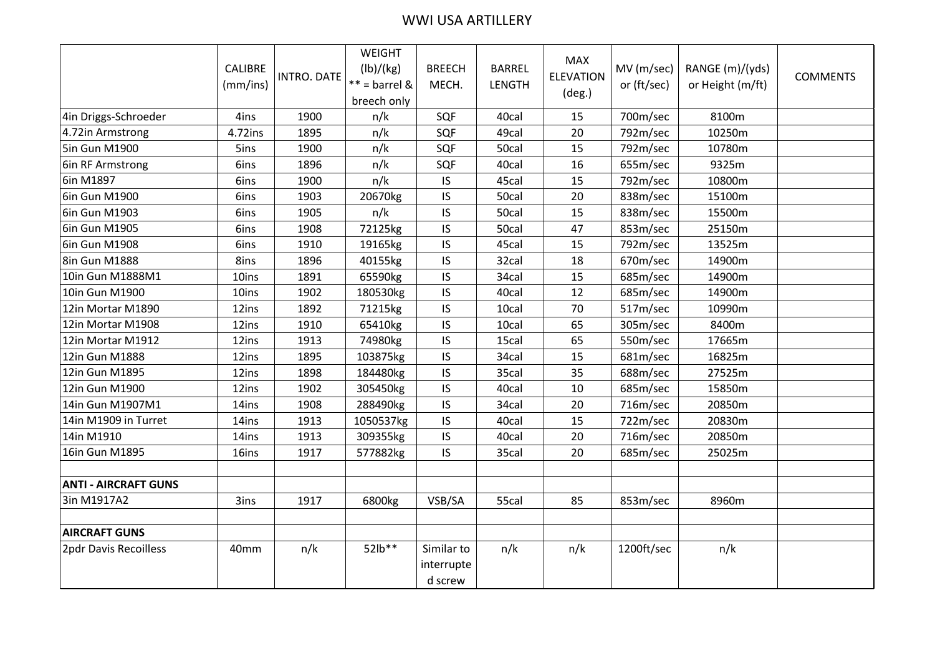## WWI USA ARTILLERY

|                             | CALIBRE<br>(mm/ins) | <b>INTRO. DATE</b> | WEIGHT<br>(lb)/(kg)<br>$**$ = barrel &<br>breech only | <b>BREECH</b><br>MECH.              | <b>BARREL</b><br><b>LENGTH</b> | <b>MAX</b><br><b>ELEVATION</b><br>$(\text{deg.})$ | MV (m/sec)<br>or (ft/sec) | RANGE (m)/(yds)<br>or Height (m/ft) | <b>COMMENTS</b> |
|-----------------------------|---------------------|--------------------|-------------------------------------------------------|-------------------------------------|--------------------------------|---------------------------------------------------|---------------------------|-------------------------------------|-----------------|
| 4in Driggs-Schroeder        | 4ins                | 1900               | n/k                                                   | SQF                                 | 40cal                          | 15                                                | 700m/sec                  | 8100m                               |                 |
| 4.72in Armstrong            | 4.72ins             | 1895               | n/k                                                   | SQF                                 | 49cal                          | 20                                                | 792m/sec                  | 10250m                              |                 |
| 5in Gun M1900               | 5ins                | 1900               | n/k                                                   | SQF                                 | 50cal                          | 15                                                | 792m/sec                  | 10780m                              |                 |
| 6in RF Armstrong            | 6ins                | 1896               | n/k                                                   | SQF                                 | 40cal                          | 16                                                | 655m/sec                  | 9325m                               |                 |
| 6in M1897                   | 6ins                | 1900               | n/k                                                   | IS                                  | 45cal                          | 15                                                | 792m/sec                  | 10800m                              |                 |
| 6in Gun M1900               | 6ins                | 1903               | 20670kg                                               | IS                                  | 50cal                          | 20                                                | 838m/sec                  | 15100m                              |                 |
| <b>6in Gun M1903</b>        | 6ins                | 1905               | n/k                                                   | IS                                  | 50cal                          | 15                                                | 838m/sec                  | 15500m                              |                 |
| 6in Gun M1905               | 6ins                | 1908               | 72125kg                                               | IS                                  | 50cal                          | 47                                                | 853m/sec                  | 25150m                              |                 |
| 6in Gun M1908               | 6ins                | 1910               | 19165kg                                               | IS                                  | 45cal                          | 15                                                | 792m/sec                  | 13525m                              |                 |
| 8in Gun M1888               | 8ins                | 1896               | 40155kg                                               | IS                                  | 32cal                          | 18                                                | 670m/sec                  | 14900m                              |                 |
| 10in Gun M1888M1            | 10ins               | 1891               | 65590kg                                               | IS                                  | 34cal                          | 15                                                | 685m/sec                  | 14900m                              |                 |
| 10in Gun M1900              | 10ins               | 1902               | 180530kg                                              | IS                                  | 40cal                          | 12                                                | 685m/sec                  | 14900m                              |                 |
| 12in Mortar M1890           | 12ins               | 1892               | 71215kg                                               | IS                                  | 10cal                          | 70                                                | 517m/sec                  | 10990m                              |                 |
| 12in Mortar M1908           | 12ins               | 1910               | 65410kg                                               | IS                                  | 10cal                          | 65                                                | 305m/sec                  | 8400m                               |                 |
| 12in Mortar M1912           | 12ins               | 1913               | 74980kg                                               | IS                                  | 15cal                          | 65                                                | 550m/sec                  | 17665m                              |                 |
| 12in Gun M1888              | 12ins               | 1895               | 103875kg                                              | IS                                  | 34cal                          | 15                                                | 681m/sec                  | 16825m                              |                 |
| 12in Gun M1895              | 12ins               | 1898               | 184480kg                                              | IS                                  | 35cal                          | 35                                                | 688m/sec                  | 27525m                              |                 |
| 12in Gun M1900              | 12ins               | 1902               | 305450kg                                              | IS                                  | 40cal                          | 10                                                | 685m/sec                  | 15850m                              |                 |
| 14in Gun M1907M1            | 14ins               | 1908               | 288490kg                                              | IS                                  | 34cal                          | 20                                                | 716m/sec                  | 20850m                              |                 |
| 14in M1909 in Turret        | 14ins               | 1913               | 1050537kg                                             | IS                                  | 40cal                          | 15                                                | 722m/sec                  | 20830m                              |                 |
| 14in M1910                  | 14ins               | 1913               | 309355kg                                              | IS                                  | 40cal                          | 20                                                | 716m/sec                  | 20850m                              |                 |
| 16in Gun M1895              | 16ins               | 1917               | 577882kg                                              | IS                                  | 35cal                          | 20                                                | 685m/sec                  | 25025m                              |                 |
|                             |                     |                    |                                                       |                                     |                                |                                                   |                           |                                     |                 |
| <b>ANTI - AIRCRAFT GUNS</b> |                     |                    |                                                       |                                     |                                |                                                   |                           |                                     |                 |
| 3in M1917A2                 | 3ins                | 1917               | 6800kg                                                | VSB/SA                              | 55cal                          | 85                                                | 853m/sec                  | 8960m                               |                 |
|                             |                     |                    |                                                       |                                     |                                |                                                   |                           |                                     |                 |
| <b>AIRCRAFT GUNS</b>        |                     |                    |                                                       |                                     |                                |                                                   |                           |                                     |                 |
| 2pdr Davis Recoilless       | 40mm                | n/k                | 52lb**                                                | Similar to<br>interrupte<br>d screw | n/k                            | n/k                                               | 1200ft/sec                | n/k                                 |                 |